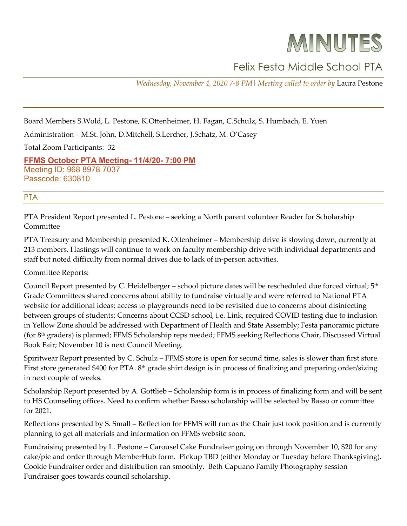# MINUTES

# Felix Festa Middle School PTA

*Wednesday, November 4, 2020 7-8 PM*| *Meeting called to order by* Laura Pestone

Board Members S.Wold, L. Pestone, K.Ottenheimer, H. Fagan, C.Schulz, S. Humbach, E. Yuen

Administration – M.St. John, D.Mitchell, S.Lercher, J.Schatz, M. O'Casey

Total Zoom Participants: 32

**[FFMS October PTA Meeting-](http://r20.rs6.net/tn.jsp?f=001MKIPy9d8ZvhlO7VcYDZFxP3fne-x0Nt-EzBYC2IqlMR_obq8wIoOaOuvsr4sz7fTJytt6FZAuYxGrZtp210m_uPjZEzZie-Q0sqeMfnpNdyCjMLxitSKzJFVqwYFXnsZybozYZQ35vhw0yYvlOVfr-d-CoKquxZnlEnojYsuQw5mbjua535oKYSvsrQAYmTdyTP_49JGvlOOo7dW4tsuEQ==&c=l70v4S2n4MSUjHPfuZKk1GadBJoqoRFLcH43WmiKiCHsdr7UQ_SE0A==&ch=sefARsSLxhdBYkb1G-gWrh96_jsSWEmwTO-ujWPWmLLCra6pL5Vdmw==) 11/4/20- 7:00 PM** Meeting ID: 968 8978 7037 Passcode: 630810

## PTA

PTA President Report presented L. Pestone – seeking a North parent volunteer Reader for Scholarship Committee

PTA Treasury and Membership presented K. Ottenheimer – Membership drive is slowing down, currently at 213 members. Hastings will continue to work on faculty membership drive with individual departments and staff but noted difficulty from normal drives due to lack of in-person activities.

Committee Reports:

Council Report presented by C. Heidelberger – school picture dates will be rescheduled due forced virtual; 5<sup>th</sup> Grade Committees shared concerns about ability to fundraise virtually and were referred to National PTA website for additional ideas; access to playgrounds need to be revisited due to concerns about disinfecting between groups of students; Concerns about CCSD school, i.e. Link, required COVID testing due to inclusion in Yellow Zone should be addressed with Department of Health and State Assembly; Festa panoramic picture (for 8th graders) is planned; FFMS Scholarship reps needed; FFMS seeking Reflections Chair, Discussed Virtual Book Fair; November 10 is next Council Meeting.

Spiritwear Report presented by C. Schulz – FFMS store is open for second time, sales is slower than first store. First store generated \$400 for PTA. 8<sup>th</sup> grade shirt design is in process of finalizing and preparing order/sizing in next couple of weeks.

Scholarship Report presented by A. Gottlieb – Scholarship form is in process of finalizing form and will be sent to HS Counseling offices. Need to confirm whether Basso scholarship will be selected by Basso or committee for 2021.

Reflections presented by S. Small – Reflection for FFMS will run as the Chair just took position and is currently planning to get all materials and information on FFMS website soon.

Fundraising presented by L. Pestone – Carousel Cake Fundraiser going on through November 10, \$20 for any cake/pie and order through MemberHub form. Pickup TBD (either Monday or Tuesday before Thanksgiving). Cookie Fundraiser order and distribution ran smoothly. Beth Capuano Family Photography session Fundraiser goes towards council scholarship.